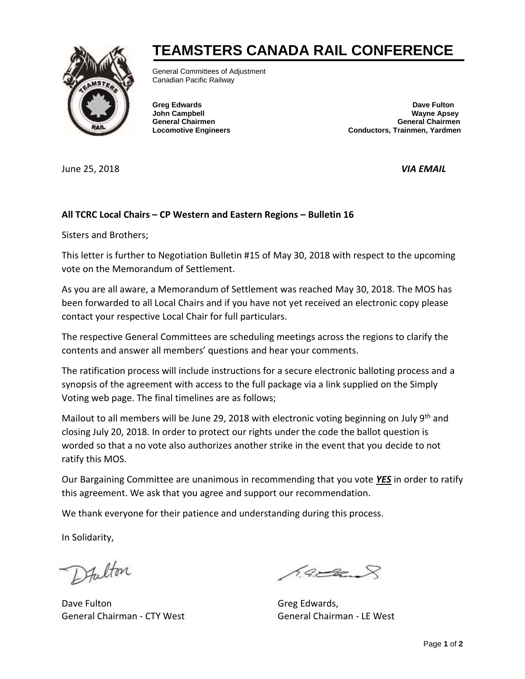## **TEAMSTERS CANADA RAIL CONFERENCE**



General Committees of Adjustment Canadian Pacific Railway

**Greg Edwards Dave Fulton John Campbell Wayne Apsey General Chairmen General Chairmen Locomotive Engineers Conductors, Trainmen, Yardmen**

June 25, 2018 *VIA EMAIL*

## **All TCRC Local Chairs – CP Western and Eastern Regions – Bulletin 16**

Sisters and Brothers;

This letter is further to Negotiation Bulletin #15 of May 30, 2018 with respect to the upcoming vote on the Memorandum of Settlement.

As you are all aware, a Memorandum of Settlement was reached May 30, 2018. The MOS has been forwarded to all Local Chairs and if you have not yet received an electronic copy please contact your respective Local Chair for full particulars.

The respective General Committees are scheduling meetings across the regions to clarify the contents and answer all members' questions and hear your comments.

The ratification process will include instructions for a secure electronic balloting process and a synopsis of the agreement with access to the full package via a link supplied on the Simply Voting web page. The final timelines are as follows;

Mailout to all members will be June 29, 2018 with electronic voting beginning on July 9<sup>th</sup> and closing July 20, 2018. In order to protect our rights under the code the ballot question is worded so that a no vote also authorizes another strike in the event that you decide to not ratify this MOS.

Our Bargaining Committee are unanimous in recommending that you vote *YES* in order to ratify this agreement. We ask that you agree and support our recommendation.

We thank everyone for their patience and understanding during this process.

In Solidarity,

Dfulton

Dave Fulton Greg Edwards, General Chairman - CTY West General Chairman - LE West

 $69$   $\approx$   $8$